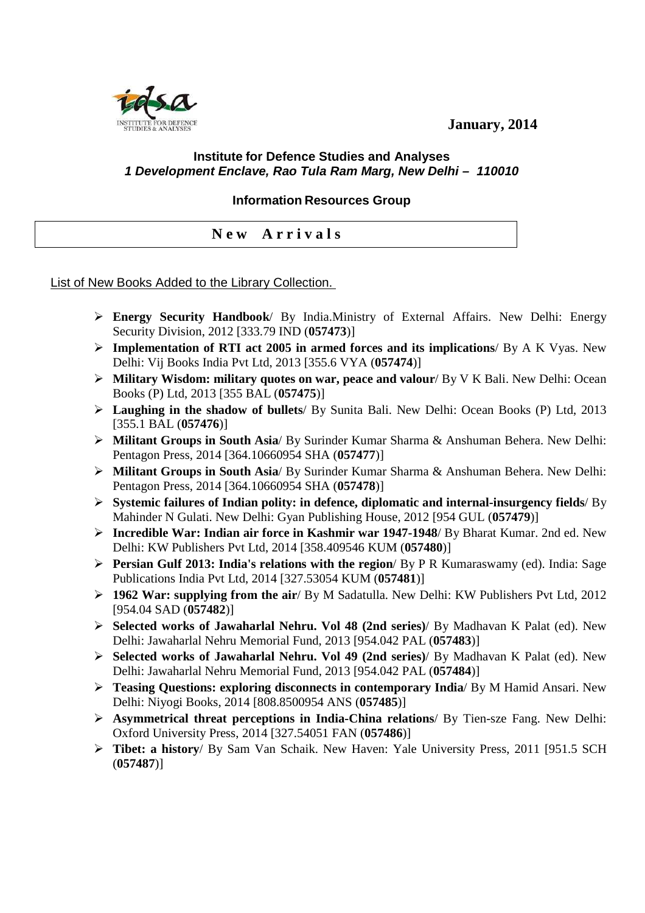**January, 2014** 



## **Institute for Defence Studies and Analyses 1 Development Enclave, Rao Tula Ram Marg, New Delhi – 110010**

**Information Resources Group** 

**N e w A r r i v a l s** 

## List of New Books Added to the Library Collection.

- **Energy Security Handbook**/ By India.Ministry of External Affairs. New Delhi: Energy Security Division, 2012 [333.79 IND (**057473**)]
- **Implementation of RTI act 2005 in armed forces and its implications**/ By A K Vyas. New Delhi: Vij Books India Pvt Ltd, 2013 [355.6 VYA (**057474**)]
- **Military Wisdom: military quotes on war, peace and valour**/ By V K Bali. New Delhi: Ocean Books (P) Ltd, 2013 [355 BAL (**057475**)]
- **Laughing in the shadow of bullets**/ By Sunita Bali. New Delhi: Ocean Books (P) Ltd, 2013 [355.1 BAL (**057476**)]
- **Militant Groups in South Asia**/ By Surinder Kumar Sharma & Anshuman Behera. New Delhi: Pentagon Press, 2014 [364.10660954 SHA (**057477**)]
- **Militant Groups in South Asia**/ By Surinder Kumar Sharma & Anshuman Behera. New Delhi: Pentagon Press, 2014 [364.10660954 SHA (**057478**)]
- **Systemic failures of Indian polity: in defence, diplomatic and internal-insurgency fields**/ By Mahinder N Gulati. New Delhi: Gyan Publishing House, 2012 [954 GUL (**057479**)]
- **Incredible War: Indian air force in Kashmir war 1947-1948**/ By Bharat Kumar. 2nd ed. New Delhi: KW Publishers Pvt Ltd, 2014 [358.409546 KUM (**057480**)]
- **Persian Gulf 2013: India's relations with the region**/ By P R Kumaraswamy (ed). India: Sage Publications India Pvt Ltd, 2014 [327.53054 KUM (**057481**)]
- **1962 War: supplying from the air**/ By M Sadatulla. New Delhi: KW Publishers Pvt Ltd, 2012 [954.04 SAD (**057482**)]
- **Selected works of Jawaharlal Nehru. Vol 48 (2nd series)**/ By Madhavan K Palat (ed). New Delhi: Jawaharlal Nehru Memorial Fund, 2013 [954.042 PAL (**057483**)]
- **Selected works of Jawaharlal Nehru. Vol 49 (2nd series)**/ By Madhavan K Palat (ed). New Delhi: Jawaharlal Nehru Memorial Fund, 2013 [954.042 PAL (**057484**)]
- **Teasing Questions: exploring disconnects in contemporary India**/ By M Hamid Ansari. New Delhi: Niyogi Books, 2014 [808.8500954 ANS (**057485**)]
- **Asymmetrical threat perceptions in India-China relations**/ By Tien-sze Fang. New Delhi: Oxford University Press, 2014 [327.54051 FAN (**057486**)]
- **Tibet: a history**/ By Sam Van Schaik. New Haven: Yale University Press, 2011 [951.5 SCH (**057487**)]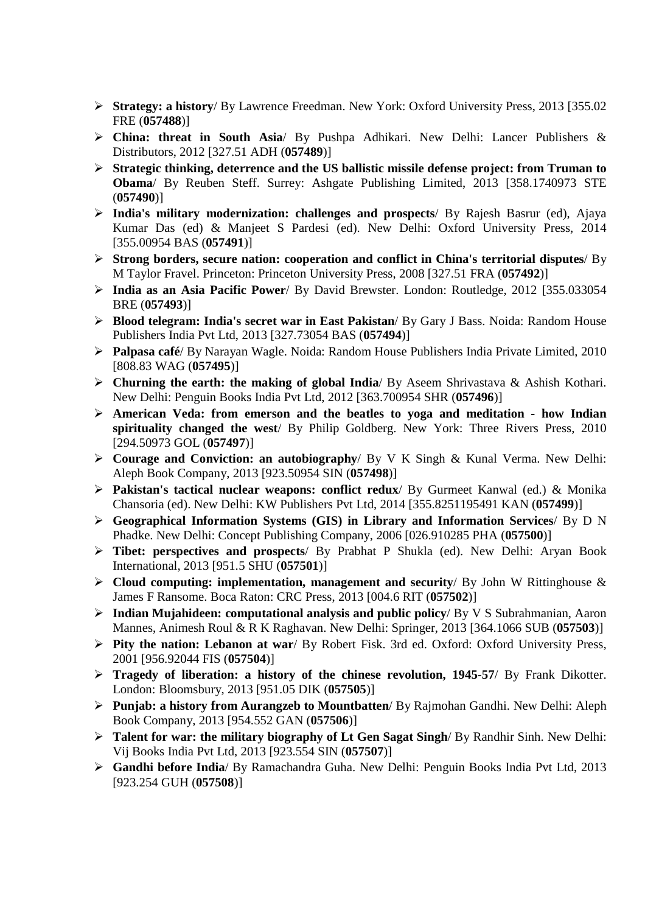- **Strategy: a history**/ By Lawrence Freedman. New York: Oxford University Press, 2013 [355.02 FRE (**057488**)]
- **China: threat in South Asia**/ By Pushpa Adhikari. New Delhi: Lancer Publishers & Distributors, 2012 [327.51 ADH (**057489**)]
- **Strategic thinking, deterrence and the US ballistic missile defense project: from Truman to Obama**/ By Reuben Steff. Surrey: Ashgate Publishing Limited, 2013 [358.1740973 STE (**057490**)]
- **India's military modernization: challenges and prospects**/ By Rajesh Basrur (ed), Ajaya Kumar Das (ed) & Manjeet S Pardesi (ed). New Delhi: Oxford University Press, 2014 [355.00954 BAS (**057491**)]
- **Strong borders, secure nation: cooperation and conflict in China's territorial disputes**/ By M Taylor Fravel. Princeton: Princeton University Press, 2008 [327.51 FRA (**057492**)]
- **India as an Asia Pacific Power**/ By David Brewster. London: Routledge, 2012 [355.033054 BRE (**057493**)]
- **Blood telegram: India's secret war in East Pakistan**/ By Gary J Bass. Noida: Random House Publishers India Pvt Ltd, 2013 [327.73054 BAS (**057494**)]
- **Palpasa café**/ By Narayan Wagle. Noida: Random House Publishers India Private Limited, 2010 [808.83 WAG (**057495**)]
- **Churning the earth: the making of global India**/ By Aseem Shrivastava & Ashish Kothari. New Delhi: Penguin Books India Pvt Ltd, 2012 [363.700954 SHR (**057496**)]
- **American Veda: from emerson and the beatles to yoga and meditation how Indian spirituality changed the west**/ By Philip Goldberg. New York: Three Rivers Press, 2010 [294.50973 GOL (**057497**)]
- **Courage and Conviction: an autobiography**/ By V K Singh & Kunal Verma. New Delhi: Aleph Book Company, 2013 [923.50954 SIN (**057498**)]
- **Pakistan's tactical nuclear weapons: conflict redux**/ By Gurmeet Kanwal (ed.) & Monika Chansoria (ed). New Delhi: KW Publishers Pvt Ltd, 2014 [355.8251195491 KAN (**057499**)]
- **Geographical Information Systems (GIS) in Library and Information Services**/ By D N Phadke. New Delhi: Concept Publishing Company, 2006 [026.910285 PHA (**057500**)]
- **Tibet: perspectives and prospects**/ By Prabhat P Shukla (ed). New Delhi: Aryan Book International, 2013 [951.5 SHU (**057501**)]
- **Cloud computing: implementation, management and security**/ By John W Rittinghouse & James F Ransome. Boca Raton: CRC Press, 2013 [004.6 RIT (**057502**)]
- **Indian Mujahideen: computational analysis and public policy**/ By V S Subrahmanian, Aaron Mannes, Animesh Roul & R K Raghavan. New Delhi: Springer, 2013 [364.1066 SUB (**057503**)]
- **Pity the nation: Lebanon at war**/ By Robert Fisk. 3rd ed. Oxford: Oxford University Press, 2001 [956.92044 FIS (**057504**)]
- **Tragedy of liberation: a history of the chinese revolution, 1945-57**/ By Frank Dikotter. London: Bloomsbury, 2013 [951.05 DIK (**057505**)]
- **Punjab: a history from Aurangzeb to Mountbatten**/ By Rajmohan Gandhi. New Delhi: Aleph Book Company, 2013 [954.552 GAN (**057506**)]
- **Talent for war: the military biography of Lt Gen Sagat Singh**/ By Randhir Sinh. New Delhi: Vij Books India Pvt Ltd, 2013 [923.554 SIN (**057507**)]
- **Gandhi before India**/ By Ramachandra Guha. New Delhi: Penguin Books India Pvt Ltd, 2013 [923.254 GUH (**057508**)]